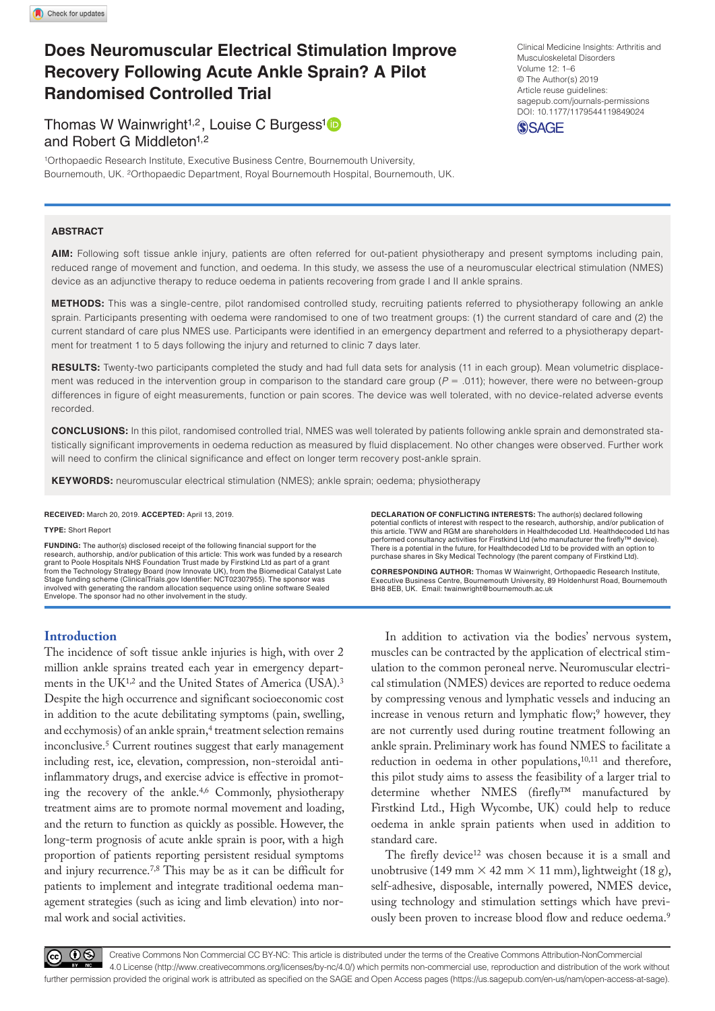# **Does Neuromuscular Electrical Stimulation Improve Recovery Following Acute Ankle Sprain? A Pilot Randomised Controlled Trial**

Thomas W Wainwright<sup>1,2</sup>, Louise C Burgess<sup>1</sup><sup>D</sup> and Robert G Middleton<sup>1,2</sup>

1Orthopaedic Research Institute, Executive Business Centre, Bournemouth University, Bournemouth, UK. 2Orthopaedic Department, Royal Bournemouth Hospital, Bournemouth, UK. https://doi.org/10.1177/1179544119849024 DOI: 10.1177/1179544119849024 Clinical Medicine Insights: Arthritis and Musculoskeletal Disorders Volume 12: 1–6 © The Author(s) 2019 Article reuse guidelines: [sagepub.com/journals-permissions](https://uk.sagepub.com/en-gb/journals-permissions)



#### **ABSTRACT**

**Aim:** Following soft tissue ankle injury, patients are often referred for out-patient physiotherapy and present symptoms including pain, reduced range of movement and function, and oedema. In this study, we assess the use of a neuromuscular electrical stimulation (NMES) device as an adjunctive therapy to reduce oedema in patients recovering from grade I and II ankle sprains.

**Methods:** This was a single-centre, pilot randomised controlled study, recruiting patients referred to physiotherapy following an ankle sprain. Participants presenting with oedema were randomised to one of two treatment groups: (1) the current standard of care and (2) the current standard of care plus NMES use. Participants were identified in an emergency department and referred to a physiotherapy department for treatment 1 to 5 days following the injury and returned to clinic 7 days later.

**RESULTS:** Twenty-two participants completed the study and had full data sets for analysis (11 in each group). Mean volumetric displacement was reduced in the intervention group in comparison to the standard care group ( $P = .011$ ); however, there were no between-group differences in figure of eight measurements, function or pain scores. The device was well tolerated, with no device-related adverse events recorded.

**Conclusions:** In this pilot, randomised controlled trial, NMES was well tolerated by patients following ankle sprain and demonstrated statistically significant improvements in oedema reduction as measured by fluid displacement. No other changes were observed. Further work will need to confirm the clinical significance and effect on longer term recovery post-ankle sprain.

**KEYWORDS:** neuromuscular electrical stimulation (NMES); ankle sprain; oedema; physiotherapy

**RECEIVED:** March 20, 2019. **ACCEPTED:** April 13, 2019.

#### **Type:** Short Report

**Funding:** The author(s) disclosed receipt of the following financial support for the research, authorship, and/or publication of this article: This work was funded by a research<br>grant to Poole Hospitals NHS Foundation Trust made by Firstkind Ltd as part of a grant<br>from the Technology Strategy Board (now In Stage funding scheme (ClinicalTrials.gov Identifier: NCT02307955). The sponsor was involved with generating the random allocation sequence using online software Sealed Envelope. The sponsor had no other involvement in the study.

## **Introduction**

The incidence of soft tissue ankle injuries is high, with over 2 million ankle sprains treated each year in emergency departments in the UK<sup>1,2</sup> and the United States of America (USA).<sup>3</sup> Despite the high occurrence and significant socioeconomic cost in addition to the acute debilitating symptoms (pain, swelling, and ecchymosis) of an ankle sprain,<sup>4</sup> treatment selection remains inconclusive.5 Current routines suggest that early management including rest, ice, elevation, compression, non-steroidal antiinflammatory drugs, and exercise advice is effective in promoting the recovery of the ankle.4,6 Commonly, physiotherapy treatment aims are to promote normal movement and loading, and the return to function as quickly as possible. However, the long-term prognosis of acute ankle sprain is poor, with a high proportion of patients reporting persistent residual symptoms and injury recurrence.7,8 This may be as it can be difficult for patients to implement and integrate traditional oedema management strategies (such as icing and limb elevation) into normal work and social activities.

**Declaration of conflicting interests:** The author(s) declared following potential conflicts of interest with respect to the research, authorship, and/or publication of this article. TWW and RGM are shareholders in Healthdecoded Ltd. Healthdecoded Ltd has performed consultancy activities for Firstkind Ltd (who manufacturer the firefly™ device).<br>There is a potential in the future, for Healthdecoded Ltd to be provided with an option to<br>purchase shares in Sky Medical Technolo

**CORRESPONDING AUTHOR:** Thomas W Wainwright, Orthopaedic Research Institute, Executive Business Centre, Bournemouth University, 89 Holdenhurst Road, Bournemouth BH8 8EB, UK. Email: [twainwright@bournemouth.ac.uk](mailto:twainwright@bournemouth.ac.uk)

In addition to activation via the bodies' nervous system, muscles can be contracted by the application of electrical stimulation to the common peroneal nerve. Neuromuscular electrical stimulation (NMES) devices are reported to reduce oedema by compressing venous and lymphatic vessels and inducing an increase in venous return and lymphatic flow;<sup>9</sup> however, they are not currently used during routine treatment following an ankle sprain. Preliminary work has found NMES to facilitate a reduction in oedema in other populations,<sup>10,11</sup> and therefore, this pilot study aims to assess the feasibility of a larger trial to determine whether NMES (firefly™ manufactured by Firstkind Ltd., High Wycombe, UK) could help to reduce oedema in ankle sprain patients when used in addition to standard care.

The firefly device<sup>12</sup> was chosen because it is a small and unobtrusive (149 mm  $\times$  42 mm  $\times$  11 mm), lightweight (18 g), self-adhesive, disposable, internally powered, NMES device, using technology and stimulation settings which have previously been proven to increase blood flow and reduce oedema.<sup>9</sup>



Creative Commons Non Commercial CC BY-NC: This article is distributed under the terms of the Creative Commons Attribution-NonCommercial 4.0 License (http://www.creativecommons.org/licenses/by-nc/4.0/) which permits non-commercial use, reproduction and distribution of the work without further permission provided the original work is attributed as specified on the SAGE and Open Access pages (https://us.sagepub.com/en-us/nam/open-access-at-sage).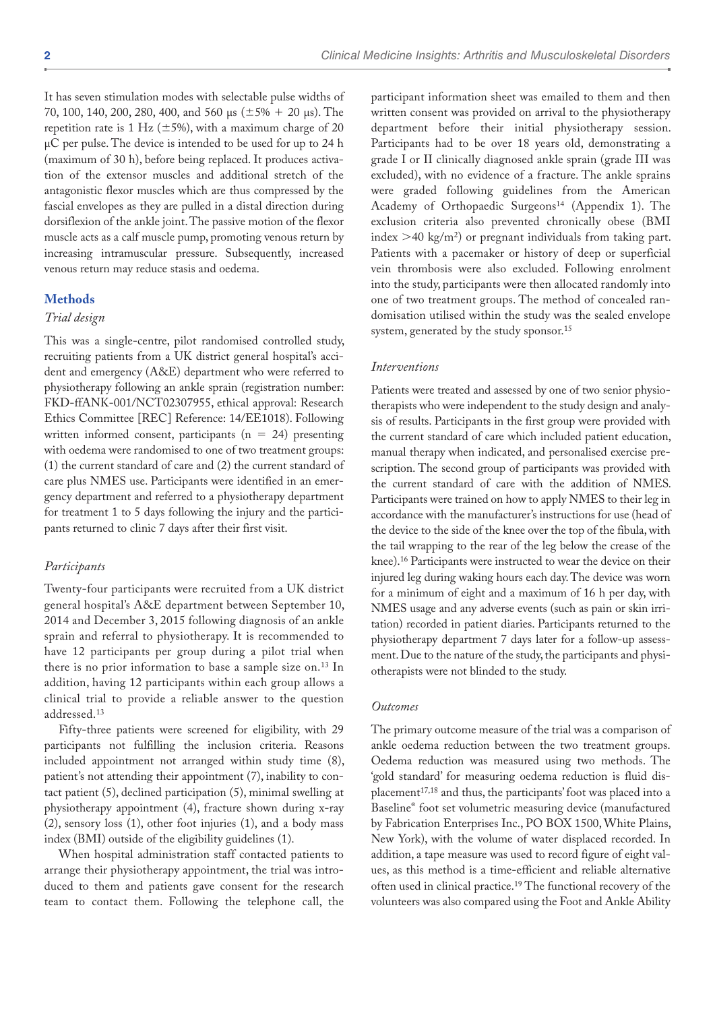It has seven stimulation modes with selectable pulse widths of 70, 100, 140, 200, 280, 400, and 560 µs (±5% + 20 µs). The repetition rate is 1 Hz ( $\pm$ 5%), with a maximum charge of 20 µC per pulse. The device is intended to be used for up to 24 h (maximum of 30 h), before being replaced. It produces activation of the extensor muscles and additional stretch of the antagonistic flexor muscles which are thus compressed by the fascial envelopes as they are pulled in a distal direction during dorsiflexion of the ankle joint. The passive motion of the flexor muscle acts as a calf muscle pump, promoting venous return by increasing intramuscular pressure. Subsequently, increased venous return may reduce stasis and oedema.

#### **Methods**

#### *Trial design*

This was a single-centre, pilot randomised controlled study, recruiting patients from a UK district general hospital's accident and emergency (A&E) department who were referred to physiotherapy following an ankle sprain (registration number: FKD-ffANK-001/NCT02307955, ethical approval: Research Ethics Committee [REC] Reference: 14/EE1018). Following written informed consent, participants (n = 24) presenting with oedema were randomised to one of two treatment groups: (1) the current standard of care and (2) the current standard of care plus NMES use. Participants were identified in an emergency department and referred to a physiotherapy department for treatment 1 to 5 days following the injury and the participants returned to clinic 7 days after their first visit.

#### *Participants*

Twenty-four participants were recruited from a UK district general hospital's A&E department between September 10, 2014 and December 3, 2015 following diagnosis of an ankle sprain and referral to physiotherapy. It is recommended to have 12 participants per group during a pilot trial when there is no prior information to base a sample size on.13 In addition, having 12 participants within each group allows a clinical trial to provide a reliable answer to the question addressed.13

Fifty-three patients were screened for eligibility, with 29 participants not fulfilling the inclusion criteria. Reasons included appointment not arranged within study time (8), patient's not attending their appointment (7), inability to contact patient (5), declined participation (5), minimal swelling at physiotherapy appointment (4), fracture shown during x-ray (2), sensory loss (1), other foot injuries (1), and a body mass index (BMI) outside of the eligibility guidelines (1).

When hospital administration staff contacted patients to arrange their physiotherapy appointment, the trial was introduced to them and patients gave consent for the research team to contact them. Following the telephone call, the

participant information sheet was emailed to them and then written consent was provided on arrival to the physiotherapy department before their initial physiotherapy session. Participants had to be over 18 years old, demonstrating a grade I or II clinically diagnosed ankle sprain (grade III was excluded), with no evidence of a fracture. The ankle sprains were graded following guidelines from the American Academy of Orthopaedic Surgeons<sup>14</sup> (Appendix 1). The exclusion criteria also prevented chronically obese (BMI index  $>40$  kg/m<sup>2</sup>) or pregnant individuals from taking part. Patients with a pacemaker or history of deep or superficial vein thrombosis were also excluded. Following enrolment into the study, participants were then allocated randomly into one of two treatment groups. The method of concealed randomisation utilised within the study was the sealed envelope system, generated by the study sponsor.15

#### *Interventions*

Patients were treated and assessed by one of two senior physiotherapists who were independent to the study design and analysis of results. Participants in the first group were provided with the current standard of care which included patient education, manual therapy when indicated, and personalised exercise prescription. The second group of participants was provided with the current standard of care with the addition of NMES. Participants were trained on how to apply NMES to their leg in accordance with the manufacturer's instructions for use (head of the device to the side of the knee over the top of the fibula, with the tail wrapping to the rear of the leg below the crease of the knee).16 Participants were instructed to wear the device on their injured leg during waking hours each day. The device was worn for a minimum of eight and a maximum of 16 h per day, with NMES usage and any adverse events (such as pain or skin irritation) recorded in patient diaries. Participants returned to the physiotherapy department 7 days later for a follow-up assessment. Due to the nature of the study, the participants and physiotherapists were not blinded to the study.

#### *Outcomes*

The primary outcome measure of the trial was a comparison of ankle oedema reduction between the two treatment groups. Oedema reduction was measured using two methods. The 'gold standard' for measuring oedema reduction is fluid displacement<sup>17,18</sup> and thus, the participants' foot was placed into a Baseline® foot set volumetric measuring device (manufactured by Fabrication Enterprises Inc., PO BOX 1500, White Plains, New York), with the volume of water displaced recorded. In addition, a tape measure was used to record figure of eight values, as this method is a time-efficient and reliable alternative often used in clinical practice.19 The functional recovery of the volunteers was also compared using the Foot and Ankle Ability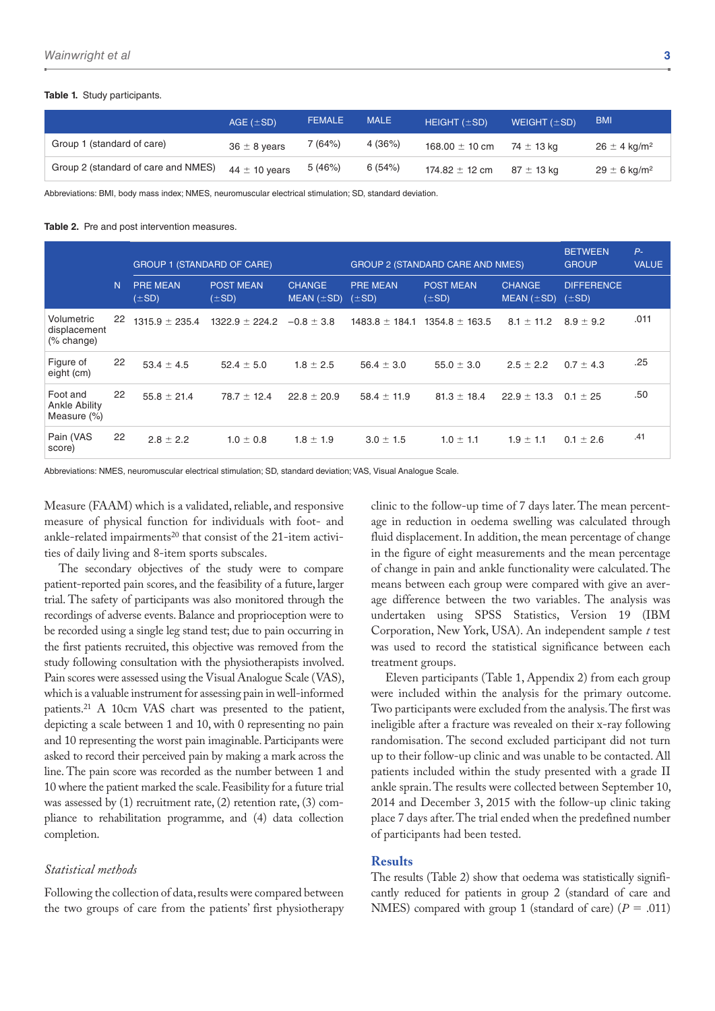#### **Table 1.** Study participants.

|                                     | AGE $(\pm SD)$    | <b>FEMALE</b> | <b>MALE</b> | HEIGHT $(\pm SD)$  | WEIGHT $(\pm SD)$ | <b>BMI</b>                   |
|-------------------------------------|-------------------|---------------|-------------|--------------------|-------------------|------------------------------|
| Group 1 (standard of care)          | $36 \pm 8$ years  | 7 (64%)       | 4(36%)      | 168.00 $\pm$ 10 cm | 74 ± 13 ka        | $26 \pm 4$ kg/m <sup>2</sup> |
| Group 2 (standard of care and NMES) | $44 \pm 10$ years | 5(46%)        | 6(54%)      | 174.82 $\pm$ 12 cm | $87\pm13$ ka      | $29 \pm 6$ kg/m <sup>2</sup> |

Abbreviations: BMI, body mass index; NMES, neuromuscular electrical stimulation; SD, standard deviation.

#### **Table 2.** Pre and post intervention measures.

|                                                                |    | <b>GROUP 1 (STANDARD OF CARE)</b> |                                |                                     | <b>GROUP 2 (STANDARD CARE AND NMES)</b> |                                |                                  | <b>BETWEEN</b><br><b>GROUP</b>  | $P -$<br><b>VALUE</b> |
|----------------------------------------------------------------|----|-----------------------------------|--------------------------------|-------------------------------------|-----------------------------------------|--------------------------------|----------------------------------|---------------------------------|-----------------------|
|                                                                | N. | <b>PRE MEAN</b><br>$(\pm SD)$     | <b>POST MEAN</b><br>$(\pm SD)$ | <b>CHANGE</b><br>$MEAN$ ( $\pm$ SD) | <b>PRE MEAN</b><br>$(\pm SD)$           | <b>POST MEAN</b><br>$(\pm SD)$ | <b>CHANGE</b><br>MEAN $(\pm SD)$ | <b>DIFFERENCE</b><br>$(\pm SD)$ |                       |
| Volumetric<br>displacement<br>$(% \mathcal{L}_{0})$ (% change) | 22 | $1315.9 \pm 235.4$                | $1322.9 \pm 224.2$             | $-0.8 \pm 3.8$                      | $1483.8 \pm 184.1$                      | $1354.8 \pm 163.5$             | $8.1 \pm 11.2$                   | $8.9 \pm 9.2$                   | .011                  |
| Figure of<br>eight (cm)                                        | 22 | $53.4 \pm 4.5$                    | $52.4 \pm 5.0$                 | $1.8 \pm 2.5$                       | $56.4 \pm 3.0$                          | $55.0 \pm 3.0$                 | $2.5 \pm 2.2$                    | $0.7 \pm 4.3$                   | .25                   |
| Foot and<br><b>Ankle Ability</b><br>Measure (%)                | 22 | $55.8 \pm 21.4$                   | $78.7 \pm 12.4$                | $22.8 \pm 20.9$                     | $58.4 \pm 11.9$                         | $81.3 \pm 18.4$                | $22.9 \pm 13.3$                  | $0.1 \pm 25$                    | .50                   |
| Pain (VAS<br>score)                                            | 22 | $2.8 \pm 2.2$                     | $1.0 \pm 0.8$                  | $1.8 \pm 1.9$                       | $3.0 \pm 1.5$                           | $1.0 \pm 1.1$                  | $1.9 \pm 1.1$                    | $0.1 \pm 2.6$                   | .41                   |

Abbreviations: NMES, neuromuscular electrical stimulation; SD, standard deviation; VAS, Visual Analogue Scale.

Measure (FAAM) which is a validated, reliable, and responsive measure of physical function for individuals with foot- and ankle-related impairments<sup>20</sup> that consist of the 21-item activities of daily living and 8-item sports subscales.

The secondary objectives of the study were to compare patient-reported pain scores, and the feasibility of a future, larger trial. The safety of participants was also monitored through the recordings of adverse events. Balance and proprioception were to be recorded using a single leg stand test; due to pain occurring in the first patients recruited, this objective was removed from the study following consultation with the physiotherapists involved. Pain scores were assessed using the Visual Analogue Scale (VAS), which is a valuable instrument for assessing pain in well-informed patients.21 A 10cm VAS chart was presented to the patient, depicting a scale between 1 and 10, with 0 representing no pain and 10 representing the worst pain imaginable. Participants were asked to record their perceived pain by making a mark across the line. The pain score was recorded as the number between 1 and 10 where the patient marked the scale. Feasibility for a future trial was assessed by (1) recruitment rate, (2) retention rate, (3) compliance to rehabilitation programme, and (4) data collection completion.

#### *Statistical methods*

Following the collection of data, results were compared between the two groups of care from the patients' first physiotherapy clinic to the follow-up time of 7 days later. The mean percentage in reduction in oedema swelling was calculated through fluid displacement. In addition, the mean percentage of change in the figure of eight measurements and the mean percentage of change in pain and ankle functionality were calculated. The means between each group were compared with give an average difference between the two variables. The analysis was undertaken using SPSS Statistics, Version 19 (IBM Corporation, New York, USA). An independent sample *t* test was used to record the statistical significance between each treatment groups.

Eleven participants (Table 1, Appendix 2) from each group were included within the analysis for the primary outcome. Two participants were excluded from the analysis. The first was ineligible after a fracture was revealed on their x-ray following randomisation. The second excluded participant did not turn up to their follow-up clinic and was unable to be contacted. All patients included within the study presented with a grade II ankle sprain. The results were collected between September 10, 2014 and December 3, 2015 with the follow-up clinic taking place 7 days after. The trial ended when the predefined number of participants had been tested.

## **Results**

The results (Table 2) show that oedema was statistically significantly reduced for patients in group 2 (standard of care and NMES) compared with group 1 (standard of care)  $(P = .011)$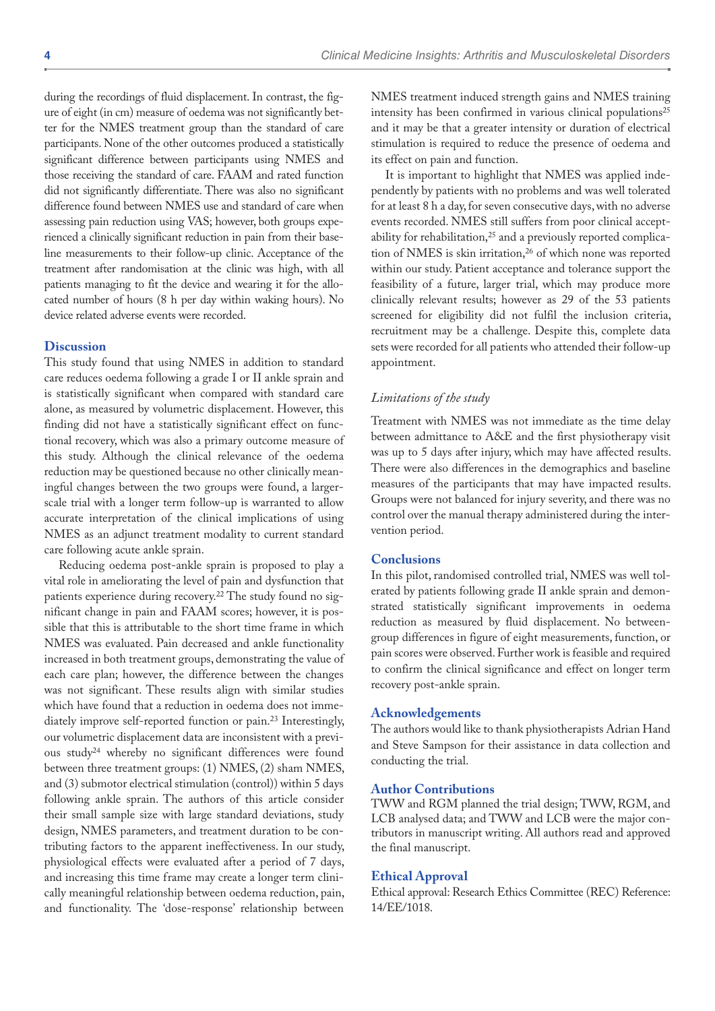during the recordings of fluid displacement. In contrast, the figure of eight (in cm) measure of oedema was not significantly better for the NMES treatment group than the standard of care participants. None of the other outcomes produced a statistically significant difference between participants using NMES and those receiving the standard of care. FAAM and rated function did not significantly differentiate. There was also no significant difference found between NMES use and standard of care when assessing pain reduction using VAS; however, both groups experienced a clinically significant reduction in pain from their baseline measurements to their follow-up clinic. Acceptance of the treatment after randomisation at the clinic was high, with all patients managing to fit the device and wearing it for the allocated number of hours (8 h per day within waking hours). No device related adverse events were recorded.

#### **Discussion**

This study found that using NMES in addition to standard care reduces oedema following a grade I or II ankle sprain and is statistically significant when compared with standard care alone, as measured by volumetric displacement. However, this finding did not have a statistically significant effect on functional recovery, which was also a primary outcome measure of this study. Although the clinical relevance of the oedema reduction may be questioned because no other clinically meaningful changes between the two groups were found, a largerscale trial with a longer term follow-up is warranted to allow accurate interpretation of the clinical implications of using NMES as an adjunct treatment modality to current standard care following acute ankle sprain.

Reducing oedema post-ankle sprain is proposed to play a vital role in ameliorating the level of pain and dysfunction that patients experience during recovery.<sup>22</sup> The study found no significant change in pain and FAAM scores; however, it is possible that this is attributable to the short time frame in which NMES was evaluated. Pain decreased and ankle functionality increased in both treatment groups, demonstrating the value of each care plan; however, the difference between the changes was not significant. These results align with similar studies which have found that a reduction in oedema does not immediately improve self-reported function or pain.23 Interestingly, our volumetric displacement data are inconsistent with a previous study24 whereby no significant differences were found between three treatment groups: (1) NMES, (2) sham NMES, and (3) submotor electrical stimulation (control)) within 5 days following ankle sprain. The authors of this article consider their small sample size with large standard deviations, study design, NMES parameters, and treatment duration to be contributing factors to the apparent ineffectiveness. In our study, physiological effects were evaluated after a period of 7 days, and increasing this time frame may create a longer term clinically meaningful relationship between oedema reduction, pain, and functionality. The 'dose-response' relationship between

NMES treatment induced strength gains and NMES training intensity has been confirmed in various clinical populations<sup>25</sup> and it may be that a greater intensity or duration of electrical stimulation is required to reduce the presence of oedema and its effect on pain and function.

It is important to highlight that NMES was applied independently by patients with no problems and was well tolerated for at least 8 h a day, for seven consecutive days, with no adverse events recorded. NMES still suffers from poor clinical acceptability for rehabilitation,<sup>25</sup> and a previously reported complication of NMES is skin irritation,<sup>26</sup> of which none was reported within our study. Patient acceptance and tolerance support the feasibility of a future, larger trial, which may produce more clinically relevant results; however as 29 of the 53 patients screened for eligibility did not fulfil the inclusion criteria, recruitment may be a challenge. Despite this, complete data sets were recorded for all patients who attended their follow-up appointment.

#### *Limitations of the study*

Treatment with NMES was not immediate as the time delay between admittance to A&E and the first physiotherapy visit was up to 5 days after injury, which may have affected results. There were also differences in the demographics and baseline measures of the participants that may have impacted results. Groups were not balanced for injury severity, and there was no control over the manual therapy administered during the intervention period.

#### **Conclusions**

In this pilot, randomised controlled trial, NMES was well tolerated by patients following grade II ankle sprain and demonstrated statistically significant improvements in oedema reduction as measured by fluid displacement. No betweengroup differences in figure of eight measurements, function, or pain scores were observed. Further work is feasible and required to confirm the clinical significance and effect on longer term recovery post-ankle sprain.

#### **Acknowledgements**

The authors would like to thank physiotherapists Adrian Hand and Steve Sampson for their assistance in data collection and conducting the trial.

#### **Author Contributions**

TWW and RGM planned the trial design; TWW, RGM, and LCB analysed data; and TWW and LCB were the major contributors in manuscript writing. All authors read and approved the final manuscript.

## **Ethical Approval**

Ethical approval: Research Ethics Committee (REC) Reference: 14/EE/1018.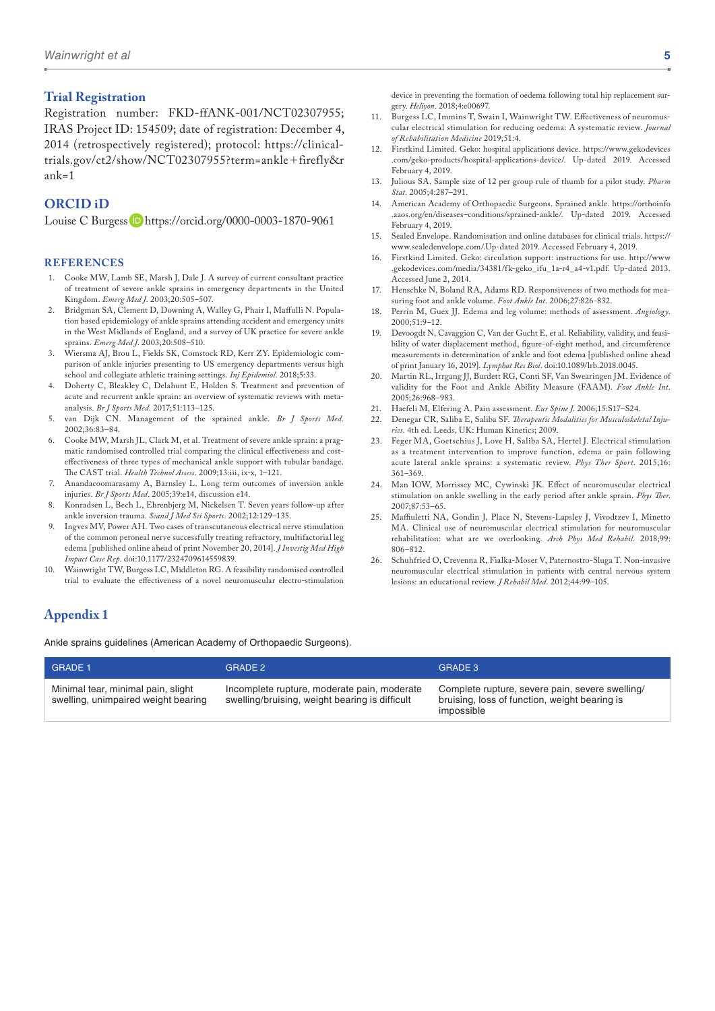## **Trial Registration**

Registration number: FKD-ffANK-001/NCT02307955; IRAS Project ID: 154509; date of registration: December 4, 2014 (retrospectively registered); protocol: [https://clinical](https://clinicaltrials.gov/ct2/show/NCT02307955?term=ankle)[trials.gov/ct2/show/NCT02307955?term=ankle](https://clinicaltrials.gov/ct2/show/NCT02307955?term=ankle)+firefly&r ank=1

## **ORCID iD**

Louise C Burgess D <https://orcid.org/0000-0003-1870-9061>

#### **References**

- 1. Cooke MW, Lamb SE, Marsh J, Dale J. A survey of current consultant practice of treatment of severe ankle sprains in emergency departments in the United Kingdom. *Emerg Med J*. 2003;20:505–507.
- 2. Bridgman SA, Clement D, Downing A, Walley G, Phair I, Maffulli N. Population based epidemiology of ankle sprains attending accident and emergency units in the West Midlands of England, and a survey of UK practice for severe ankle sprains. *Emerg Med J*. 2003;20:508–510.
- 3. Wiersma AJ, Brou L, Fields SK, Comstock RD, Kerr ZY. Epidemiologic comparison of ankle injuries presenting to US emergency departments versus high school and collegiate athletic training settings. *Inj Epidemiol*. 2018;5:33.
- 4. Doherty C, Bleakley C, Delahunt E, Holden S. Treatment and prevention of acute and recurrent ankle sprain: an overview of systematic reviews with metaanalysis. *Br J Sports Med*. 2017;51:113–125.
- 5. van Dijk CN. Management of the sprained ankle. *Br J Sports Med*. 2002;36:83–84.
- 6. Cooke MW, Marsh JL, Clark M, et al. Treatment of severe ankle sprain: a pragmatic randomised controlled trial comparing the clinical effectiveness and costeffectiveness of three types of mechanical ankle support with tubular bandage. The CAST trial. *Health Technol Assess*. 2009;13:iii, ix-x, 1–121.
- 7. Anandacoomarasamy A, Barnsley L. Long term outcomes of inversion ankle injuries. *Br J Sports Med*. 2005;39:e14, discussion e14.
- 8. Konradsen L, Bech L, Ehrenbjerg M, Nickelsen T. Seven years follow-up after ankle inversion trauma. *Scand J Med Sci Sports*. 2002;12:129–135.
- 9. Ingves MV, Power AH. Two cases of transcutaneous electrical nerve stimulation of the common peroneal nerve successfully treating refractory, multifactorial leg edema [published online ahead of print November 20, 2014]. *J Investig Med High Impact Case Rep*. doi:10.1177/2324709614559839.
- 10. Wainwright TW, Burgess LC, Middleton RG. A feasibility randomised controlled trial to evaluate the effectiveness of a novel neuromuscular electro-stimulation

device in preventing the formation of oedema following total hip replacement surgery. *Heliyon*. 2018;4:e00697.

- 11. Burgess LC, Immins T, Swain I, Wainwright TW. Effectiveness of neuromuscular electrical stimulation for reducing oedema: A systematic review. *Journal of Rehabilitation Medicine* 2019;51:4.
- 12. Firstkind Limited. Geko: hospital applications device. [https://www.gekodevices](https://www.gekodevices.com/geko-products/hospital-applications-device/) [.com/geko-products/hospital-applications-device/.](https://www.gekodevices.com/geko-products/hospital-applications-device/) Up-dated 2019. Accessed February 4, 2019.
- 13. Julious SA. Sample size of 12 per group rule of thumb for a pilot study. *Pharm Stat*. 2005;4:287–291.
- 14. American Academy of Orthopaedic Surgeons. Sprained ankle. [https://orthoinfo](https://orthoinfo.aaos.org/en/diseases) [.aaos.org/en/diseases](https://orthoinfo.aaos.org/en/diseases)–conditions/sprained-ankle/. Up-dated 2019. Accessed February 4, 2019.
- 15. Sealed Envelope. Randomisation and online databases for clinical trials. [https://](https://www.sealedenvelope.com/.Up-dated) [www.sealedenvelope.com/.Up-dated](https://www.sealedenvelope.com/.Up-dated) 2019. Accessed February 4, 2019.
- 16. Firstkind Limited. Geko: circulation support: instructions for use. [http://www](http://www.gekodevices.com/media/34381/fk-geko_ifu_1a-r4_a4-v1.pdf) [.gekodevices.com/media/34381/fk-geko\\_ifu\\_1a-r4\\_a4-v1.pdf](http://www.gekodevices.com/media/34381/fk-geko_ifu_1a-r4_a4-v1.pdf). Up-dated 2013. Accessed June 2, 2014.
- 17. Henschke N, Boland RA, Adams RD. Responsiveness of two methods for measuring foot and ankle volume. *Foot Ankle Int*. 2006;27:826-832.
- 18. Perrin M, Guex JJ. Edema and leg volume: methods of assessment. *Angiology*. 2000;51:9–12.
- 19. Devoogdt N, Cavaggion C, Van der Gucht E, et al. Reliability, validity, and feasibility of water displacement method, figure-of-eight method, and circumference measurements in determination of ankle and foot edema [published online ahead of print January 16, 2019]. *Lymphat Res Biol*. doi:10.1089/lrb.2018.0045.
- 20. Martin RL, Irrgang JJ, Burdett RG, Conti SF, Van Swearingen JM. Evidence of validity for the Foot and Ankle Ability Measure (FAAM). *Foot Ankle Int*. 2005;26:968–983.
- 21. Haefeli M, Elfering A. Pain assessment. *Eur Spine J*. 2006;15:S17–S24.
- 22. Denegar CR, Saliba E, Saliba SF. *Therapeutic Modalities for Musculoskeletal Injuries*. 4th ed. Leeds, UK: Human Kinetics; 2009.
- Feger MA, Goetschius J, Love H, Saliba SA, Hertel J. Electrical stimulation as a treatment intervention to improve function, edema or pain following acute lateral ankle sprains: a systematic review. *Phys Ther Sport*. 2015;16: 361–369.
- 24. Man IOW, Morrissey MC, Cywinski JK. Effect of neuromuscular electrical stimulation on ankle swelling in the early period after ankle sprain. *Phys Ther*. 2007;87:53–65.
- 25. Maffiuletti NA, Gondin J, Place N, Stevens-Lapsley J, Vivodtzev I, Minetto MA. Clinical use of neuromuscular electrical stimulation for neuromuscular rehabilitation: what are we overlooking. *Arch Phys Med Rehabil*. 2018;99: 806–812.
- 26. Schuhfried O, Crevenna R, Fialka-Moser V, Paternostro-Sluga T. Non-invasive neuromuscular electrical stimulation in patients with central nervous system lesions: an educational review. *J Rehabil Med*. 2012;44:99–105.

# **Appendix 1**

Ankle sprains guidelines (American Academy of Orthopaedic Surgeons).

| <b>GRADE 1</b>                                                            | <b>GRADE 2</b>                                                                                | <b>GRADE 3</b>                                                                                                 |
|---------------------------------------------------------------------------|-----------------------------------------------------------------------------------------------|----------------------------------------------------------------------------------------------------------------|
| Minimal tear, minimal pain, slight<br>swelling, unimpaired weight bearing | Incomplete rupture, moderate pain, moderate<br>swelling/bruising, weight bearing is difficult | Complete rupture, severe pain, severe swelling/<br>bruising, loss of function, weight bearing is<br>impossible |